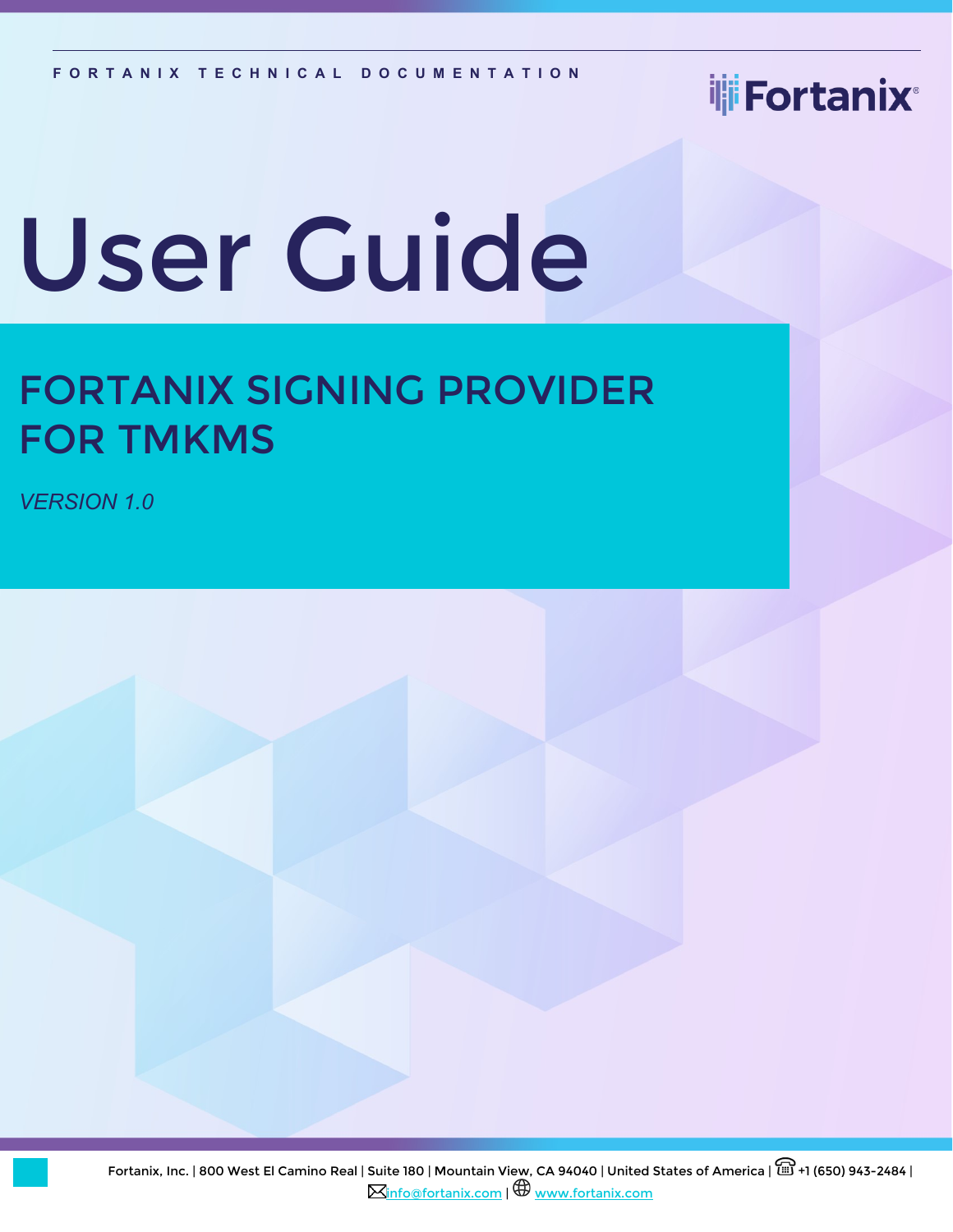# ili Fortanix<sup>®</sup>

# User Guide

# FORTANIX SIGNING PROVIDER FOR TMKMS

*VERSION 1.0*

Fortanix, Inc. | 800 West El Camino Real | Suite 180 | Mountain View, CA 94040 | United States of America |  $\widehat{\boxplus}$  +1 (650) 943-2484 | **M[info@fortanix.com](mailto:info@fortanix.com) | H** [www.fortanix.com](http://www.fortanix.com/)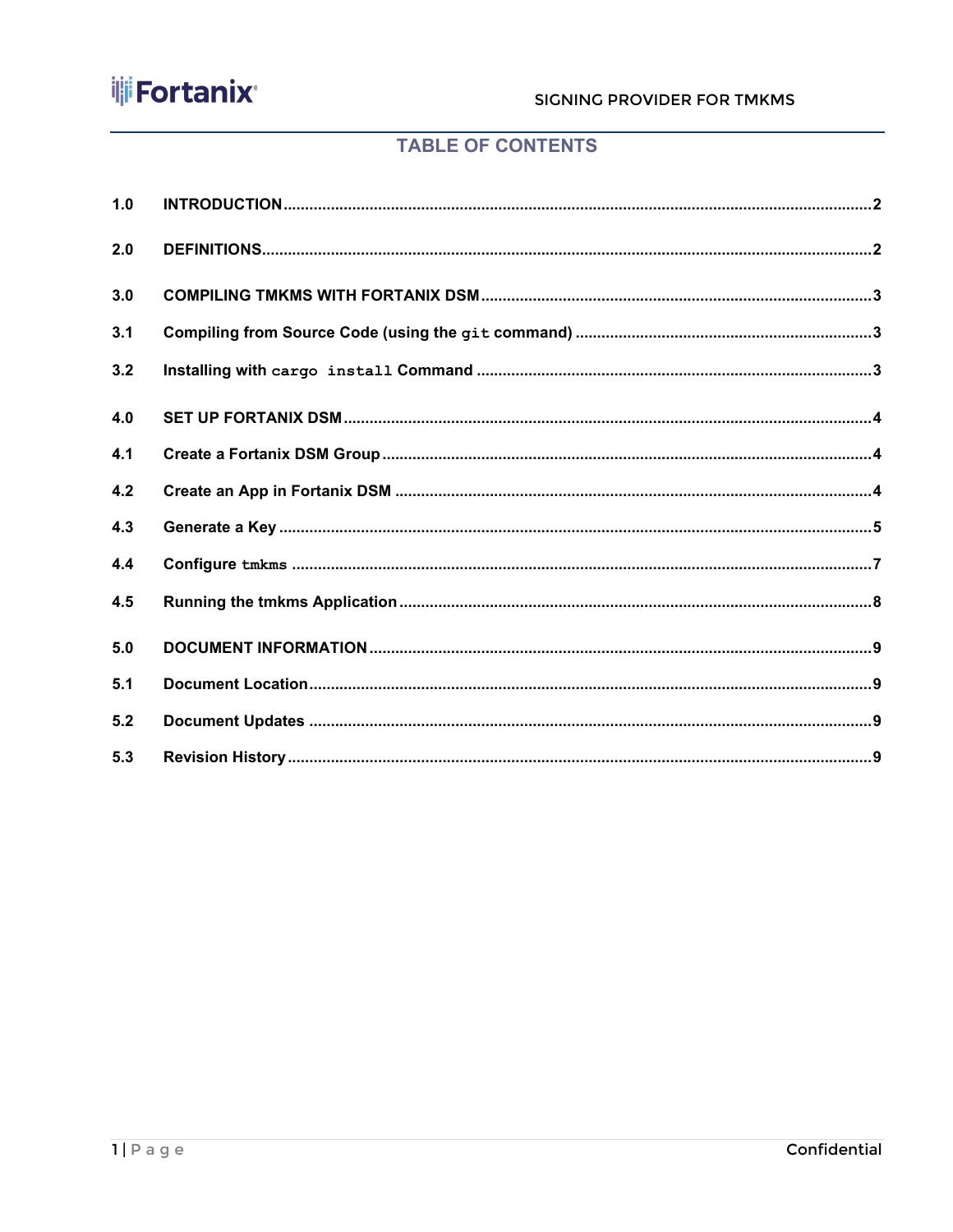

### **TABLE OF CONTENTS**

| 1.0 |  |
|-----|--|
| 2.0 |  |
| 3.0 |  |
| 3.1 |  |
| 3.2 |  |
| 4.0 |  |
| 4.1 |  |
| 4.2 |  |
| 4.3 |  |
| 4.4 |  |
| 4.5 |  |
| 5.0 |  |
| 5.1 |  |
| 5.2 |  |
| 5.3 |  |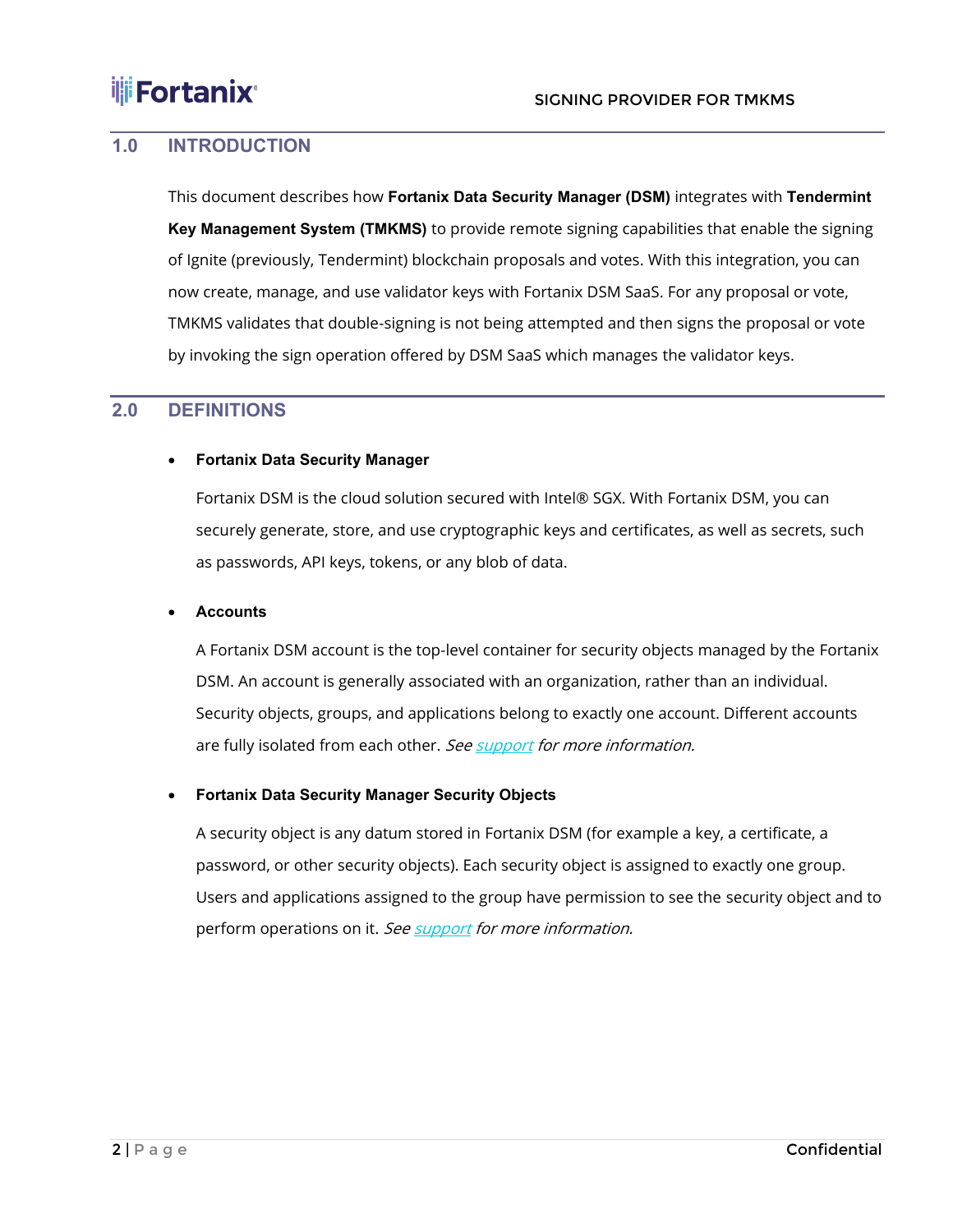### <span id="page-2-0"></span>**1.0 INTRODUCTION**

This document describes how **Fortanix Data Security Manager (DSM)** integrates with **Tendermint Key Management System (TMKMS)** to provide remote signing capabilities that enable the signing of Ignite (previously, Tendermint) blockchain proposals and votes. With this integration, you can now create, manage, and use validator keys with Fortanix DSM SaaS. For any proposal or vote, TMKMS validates that double-signing is not being attempted and then signs the proposal or vote by invoking the sign operation offered by DSM SaaS which manages the validator keys.

### <span id="page-2-1"></span>**2.0 DEFINITIONS**

#### • **Fortanix Data Security Manager**

Fortanix DSM is the cloud solution secured with Intel® SGX. With Fortanix DSM, you can securely generate, store, and use cryptographic keys and certificates, as well as secrets, such as passwords, API keys, tokens, or any blob of data.

#### • **Accounts**

A Fortanix DSM account is the top-level container for security objects managed by the Fortanix DSM. An account is generally associated with an organization, rather than an individual. Security objects, groups, and applications belong to exactly one account. Different accounts are fully isolated from each other. Se[e support](https://support.fortanix.com/hc/en-us/articles/360016160251-Concepts) for more information.

#### • **Fortanix Data Security Manager Security Objects**

A security object is any datum stored in Fortanix DSM (for example a key, a certificate, a password, or other security objects). Each security object is assigned to exactly one group. Users and applications assigned to the group have permission to see the security object and to perform operations on it. Se[e support](https://support.fortanix.com/hc/en-us/articles/360016160251-Concepts) for more information.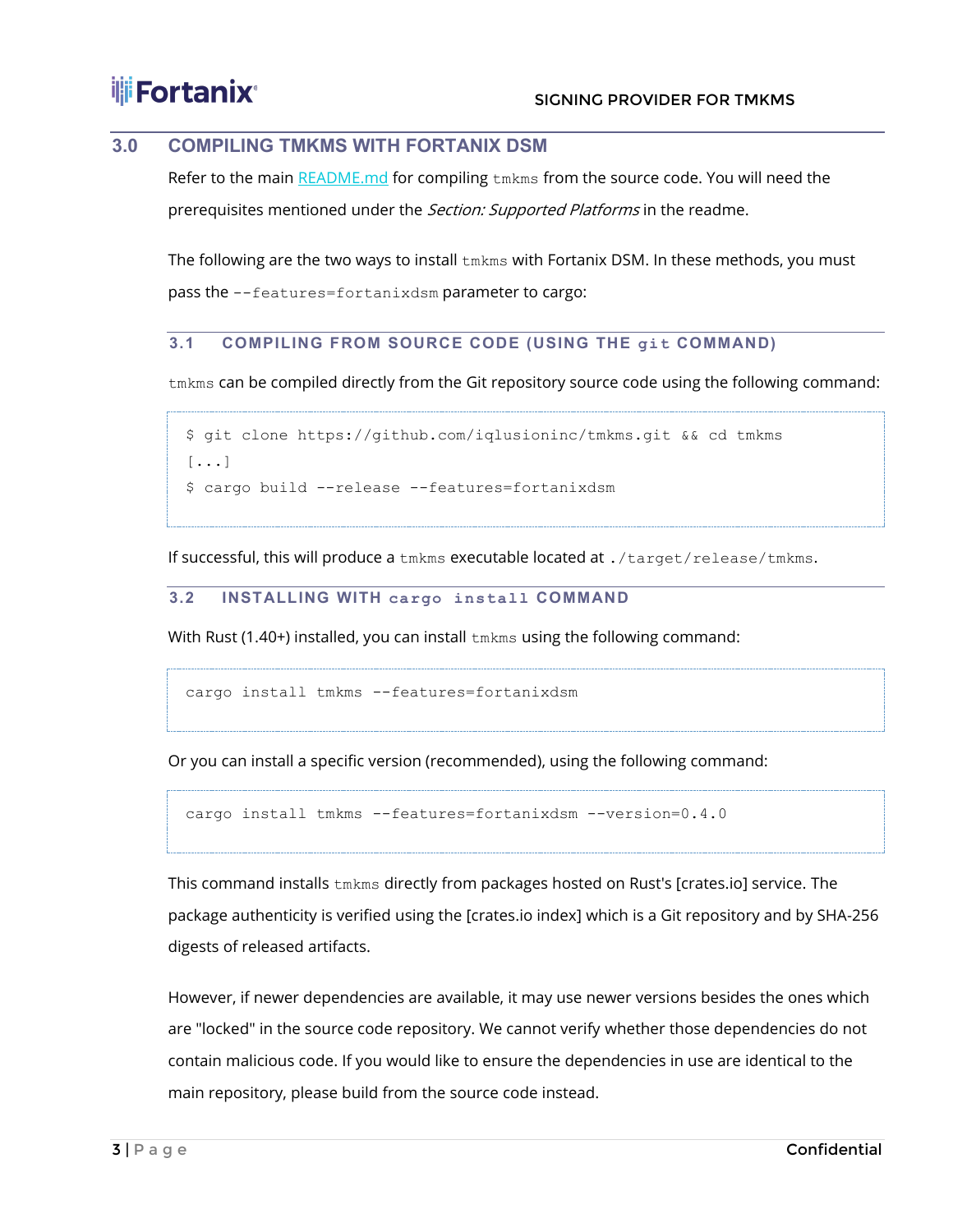### <span id="page-3-0"></span>**3.0 COMPILING TMKMS WITH FORTANIX DSM**

Refer to the main [README.md](https://github.com/iqlusioninc/tmkms/blob/main/README.md) for compiling tmkms from the source code. You will need the prerequisites mentioned under the Section: Supported Platforms in the readme.

The following are the two ways to install  $tmkms$  with Fortanix DSM. In these methods, you must pass the --features=fortanixdsm parameter to cargo:

### <span id="page-3-1"></span>**3.1 COMPILING FROM SOURCE CODE (USING THE git COMMAND)**

tmkms can be compiled directly from the Git repository source code using the following command:

```
$ git clone https://github.com/iqlusioninc/tmkms.git && cd tmkms
[...]
$ cargo build --release --features=fortanixdsm
```
If successful, this will produce a tmkms executable located at ./target/release/tmkms.

#### <span id="page-3-2"></span>**3.2 INSTALLING WITH cargo install COMMAND**

With Rust (1.40+) installed, you can install tmkms using the following command:

cargo install tmkms --features=fortanixdsm

Or you can install a specific version (recommended), using the following command:

cargo install tmkms --features=fortanixdsm --version=0.4.0

This command installs tmkms directly from packages hosted on Rust's [crates.io] service. The package authenticity is verified using the [crates.io index] which is a Git repository and by SHA-256 digests of released artifacts.

However, if newer dependencies are available, it may use newer versions besides the ones which are "locked" in the source code repository. We cannot verify whether those dependencies do not contain malicious code. If you would like to ensure the dependencies in use are identical to the main repository, please build from the source code instead.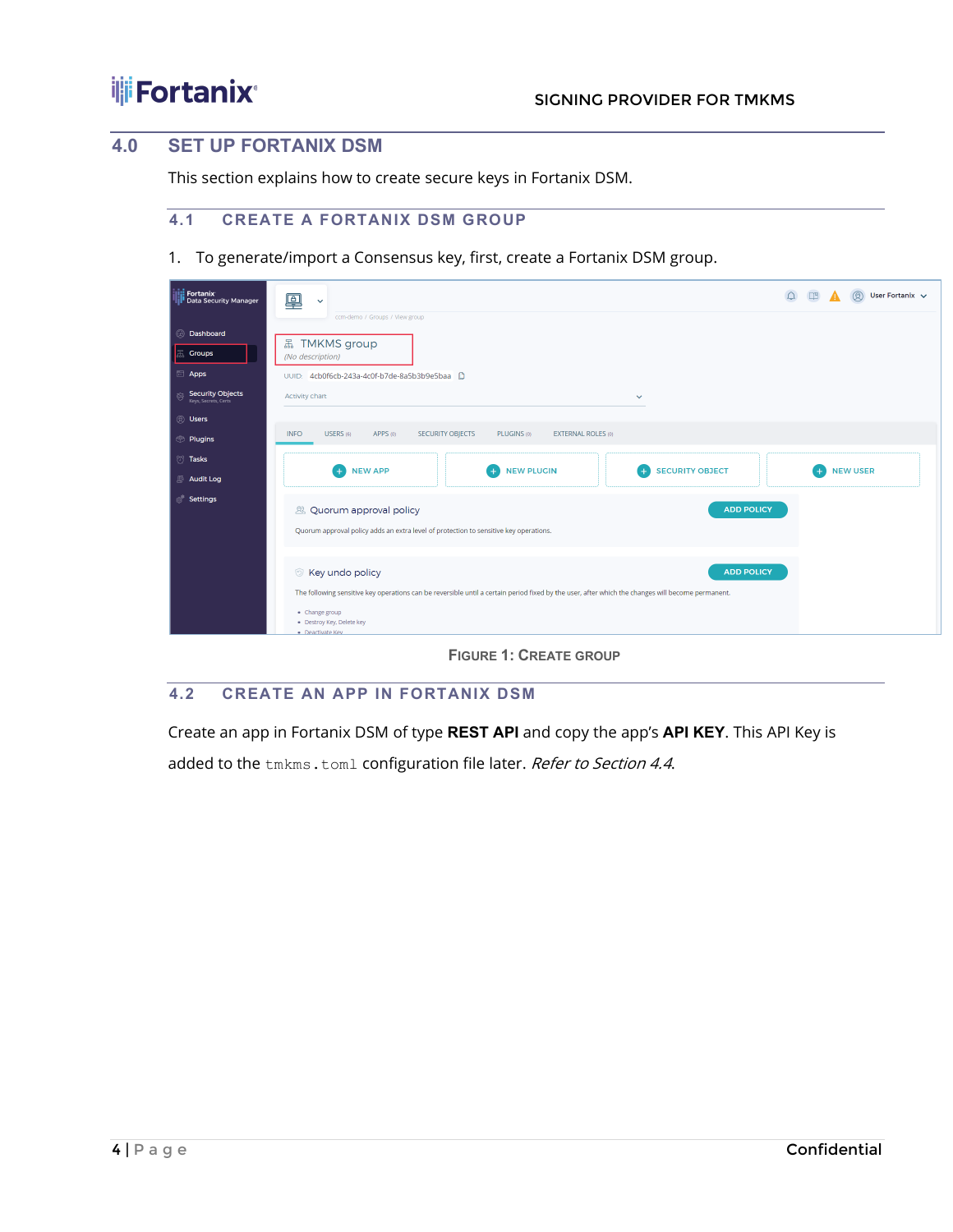### <span id="page-4-0"></span>**4.0 SET UP FORTANIX DSM**

This section explains how to create secure keys in Fortanix DSM.

### <span id="page-4-1"></span>**4.1 CREATE A FORTANIX DSM GROUP**

1. To generate/import a Consensus key, first, create a Fortanix DSM group.

| Fortanix<br>Data Security Manager                    | 凰<br>$\checkmark$<br>ccm-demo / Groups / View group                                                                                                                                                                                                                           | $\circledR$<br>$\Omega$<br>四<br>A<br>User Fortanix v |  |  |  |
|------------------------------------------------------|-------------------------------------------------------------------------------------------------------------------------------------------------------------------------------------------------------------------------------------------------------------------------------|------------------------------------------------------|--|--|--|
| @ Dashboard<br><b>黑 Groups</b><br><b>Apps</b>        | 品 TMKMS group<br>(No description)<br>4cb0f6cb-243a-4c0f-b7de-8a5b3b9e5baa<br>UUID:                                                                                                                                                                                            |                                                      |  |  |  |
| <b>Security Objects</b><br>夸<br>Keys, Secrets, Certs | Activity chart<br>$\checkmark$                                                                                                                                                                                                                                                |                                                      |  |  |  |
| <b>8</b> Users<br><b>Plugins</b>                     | USERS (6)<br>APPS (0)<br>SECURITY OBJECTS<br>PLUGINS (0)<br><b>EXTERNAL ROLES (0)</b><br><b>INFO</b>                                                                                                                                                                          |                                                      |  |  |  |
| <sup>7</sup> Tasks<br>Audit Log                      | <b>NEW PLUGIN</b><br><b>SECURITY OBJECT</b><br><b>NEW APP</b><br>$+$                                                                                                                                                                                                          | <b>NEW USER</b>                                      |  |  |  |
| <b>Settings</b>                                      | <b>ADD POLICY</b><br>& Quorum approval policy<br>Quorum approval policy adds an extra level of protection to sensitive key operations.                                                                                                                                        |                                                      |  |  |  |
|                                                      | <b>ADD POLICY</b><br><b>Example X</b> Key undo policy<br>The following sensitive key operations can be reversible until a certain period fixed by the user, after which the changes will become permanent.<br>• Change group<br>· Destroy Key, Delete key<br>· Deactivate Key |                                                      |  |  |  |

**FIGURE 1: CREATE GROUP**

### <span id="page-4-2"></span>**4.2 CREATE AN APP IN FORTANIX DSM**

Create an app in Fortanix DSM of type **REST API** and copy the app's **API KEY**. This API Key is

added to the tmkms.toml configuration file later. Refer to Section 4.4.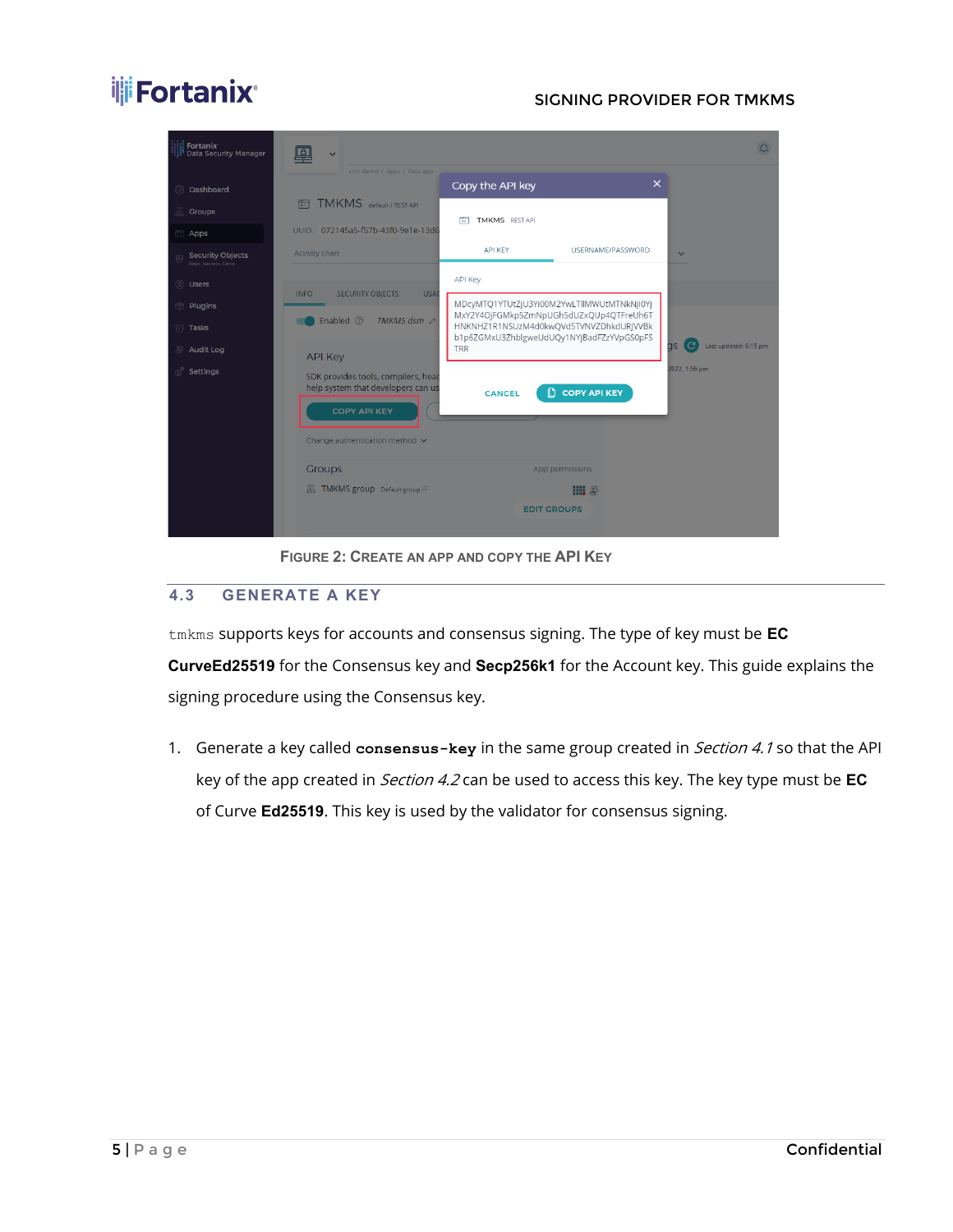

**FIGURE 2: CREATE AN APP AND COPY THE API KEY**

### <span id="page-5-0"></span>**4.3 GENERATE A KEY**

tmkms supports keys for accounts and consensus signing. The type of key must be **EC CurveEd25519** for the Consensus key and **Secp256k1** for the Account key. This guide explains the signing procedure using the Consensus key.

1. Generate a key called **consensus-key** in the same group created in Section 4.1 so that the API key of the app created in Section 4.2 can be used to access this key. The key type must be **EC** of Curve **Ed25519**. This key is used by the validator for consensus signing.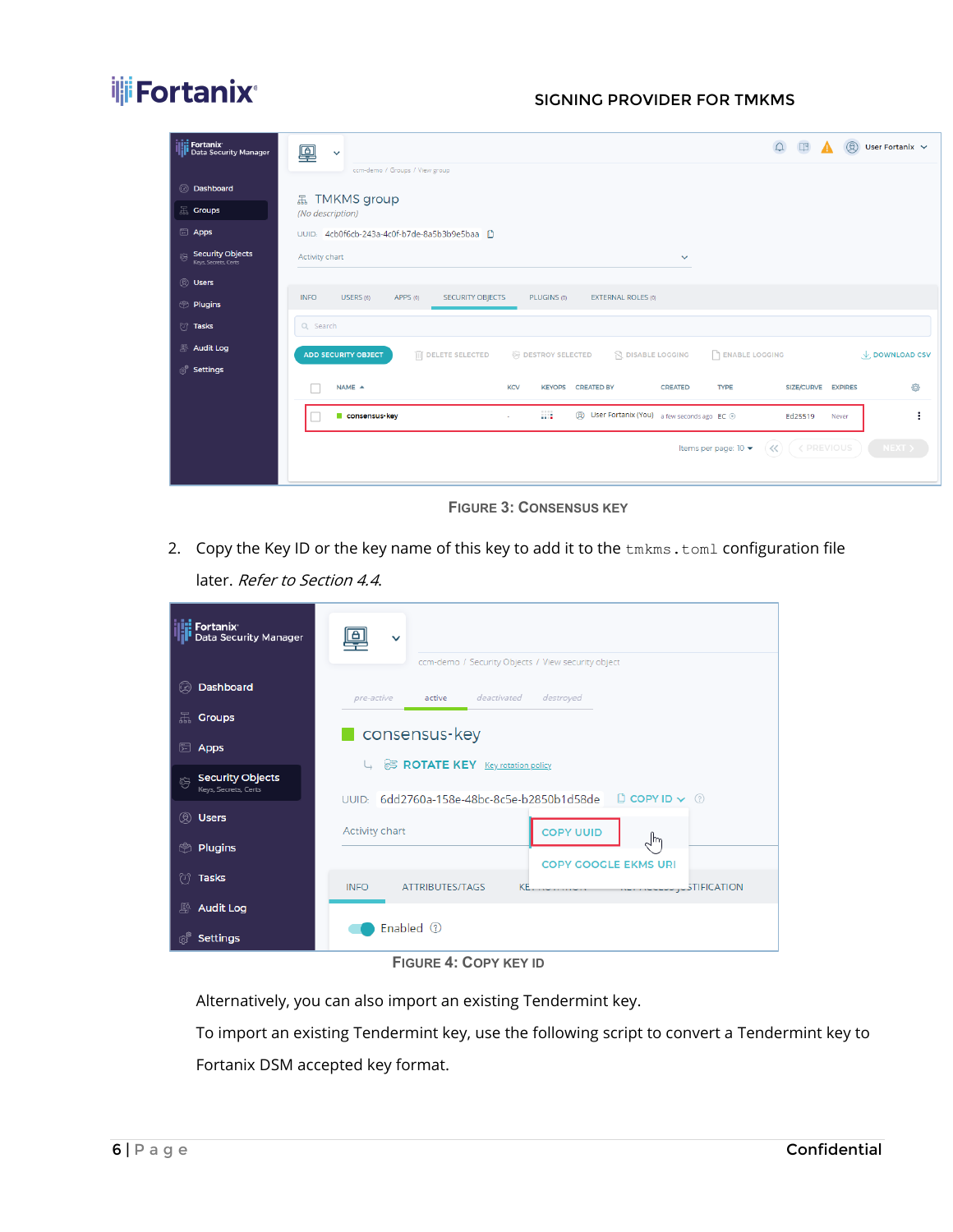

| <b>ilii</b> Fortanix<br><b>Till Data Security Manager</b>                                             | $\triangle$<br>$\Box \mathbb{B}$<br>$\circledR$<br>User Fortanix $\sim$<br>凰<br>$\checkmark$                                                                                                                                                                                                                                                                                                                                   |
|-------------------------------------------------------------------------------------------------------|--------------------------------------------------------------------------------------------------------------------------------------------------------------------------------------------------------------------------------------------------------------------------------------------------------------------------------------------------------------------------------------------------------------------------------|
| @ Dashboard<br><b>黑 Groups</b><br><b>Apps</b><br><b>Security Objects</b><br>容<br>Keys, Secrets, Certs | ccm-demo / Groups / View group<br><b>品 TMKMS group</b><br>(No description)<br>UUID: 4cb0f6cb-243a-4c0f-b7de-8a5b3b9e5baa<br>Activity chart<br>$\checkmark$                                                                                                                                                                                                                                                                     |
| <b>8</b> Users<br><b>Plugins</b><br><sup>1</sup> Tasks                                                | USERS (6)<br>APPS (0)<br>PLUGINS (0)<br><b>INFO</b><br><b>SECURITY OBJECTS</b><br><b>EXTERNAL ROLES (0)</b><br>Q Search                                                                                                                                                                                                                                                                                                        |
| Audit Log<br><sup>®</sup> Settings                                                                    | <b>PENABLE LOGGING</b><br><b>III</b> DELETE SELECTED<br><b>ER DESTROY SELECTED</b><br><b>ADD SECURITY OBJECT</b><br><b>Q DISABLE LOGGING</b><br>$\downarrow$ , DOWNLOAD CSV<br>€<br>$NAME \triangleq$<br><b>KCV</b><br><b>TYPE</b><br>SIZE/CURVE EXPIRES<br><b>KEYOPS</b><br><b>CREATED BY</b><br><b>CREATED</b><br><b>A</b><br><b>②</b> User Fortanix (You) a few seconds ago EC ⊙<br>consensus key<br>Ed25519<br>Never<br>ä, |
|                                                                                                       | <b>&lt; PREVIOUS</b><br>$\ll$<br>NENT > 1<br>Items per page: 10 ▼                                                                                                                                                                                                                                                                                                                                                              |

**FIGURE 3: CONSENSUS KEY**

2. Copy the Key ID or the key name of this key to add it to the tmkms.toml configuration file later. Refer to Section 4.4.

| <b>Fortanix</b><br><b>Data Security Manager</b>                      | $\checkmark$<br>ccm-demo / Security Objects / View security object                                                                  |
|----------------------------------------------------------------------|-------------------------------------------------------------------------------------------------------------------------------------|
| Dashboard<br>$\circledcirc$                                          | destroyed<br>deactivated<br>pre-active<br>active                                                                                    |
| 品<br><b>Groups</b>                                                   |                                                                                                                                     |
| ₩<br>Apps                                                            | consensus-key                                                                                                                       |
| <b>Security Objects</b><br>$\hat{\circledS}$<br>Keys, Secrets, Certs | ROTATE KEY Key rotation policy                                                                                                      |
| <b>Users</b><br>®                                                    | UUID: 6dd2760a-158e-48bc-8c5e-b2850b1d58de <b>D</b> COPY ID v 0                                                                     |
| <b>Plugins</b><br>়                                                  | <b>COPY UUID</b><br>Activity chart<br>$\lambda$ m                                                                                   |
| <b>Tasks</b><br>₩.                                                   | <b>COPY GOOGLE EKMS URI</b><br><b>ATTRIBUTES/TAGS</b><br><b>INFO</b><br><b>KE</b><br><b>STIFICATION</b><br><b><i>CONTRACTOR</i></b> |
| 縣<br><b>Audit Log</b>                                                |                                                                                                                                     |
| ක්<br><b>Settings</b>                                                | Enabled $\circledcirc$                                                                                                              |

### **FIGURE 4: COPY KEY ID**

Alternatively, you can also import an existing Tendermint key.

To import an existing Tendermint key, use the following script to convert a Tendermint key to Fortanix DSM accepted key format.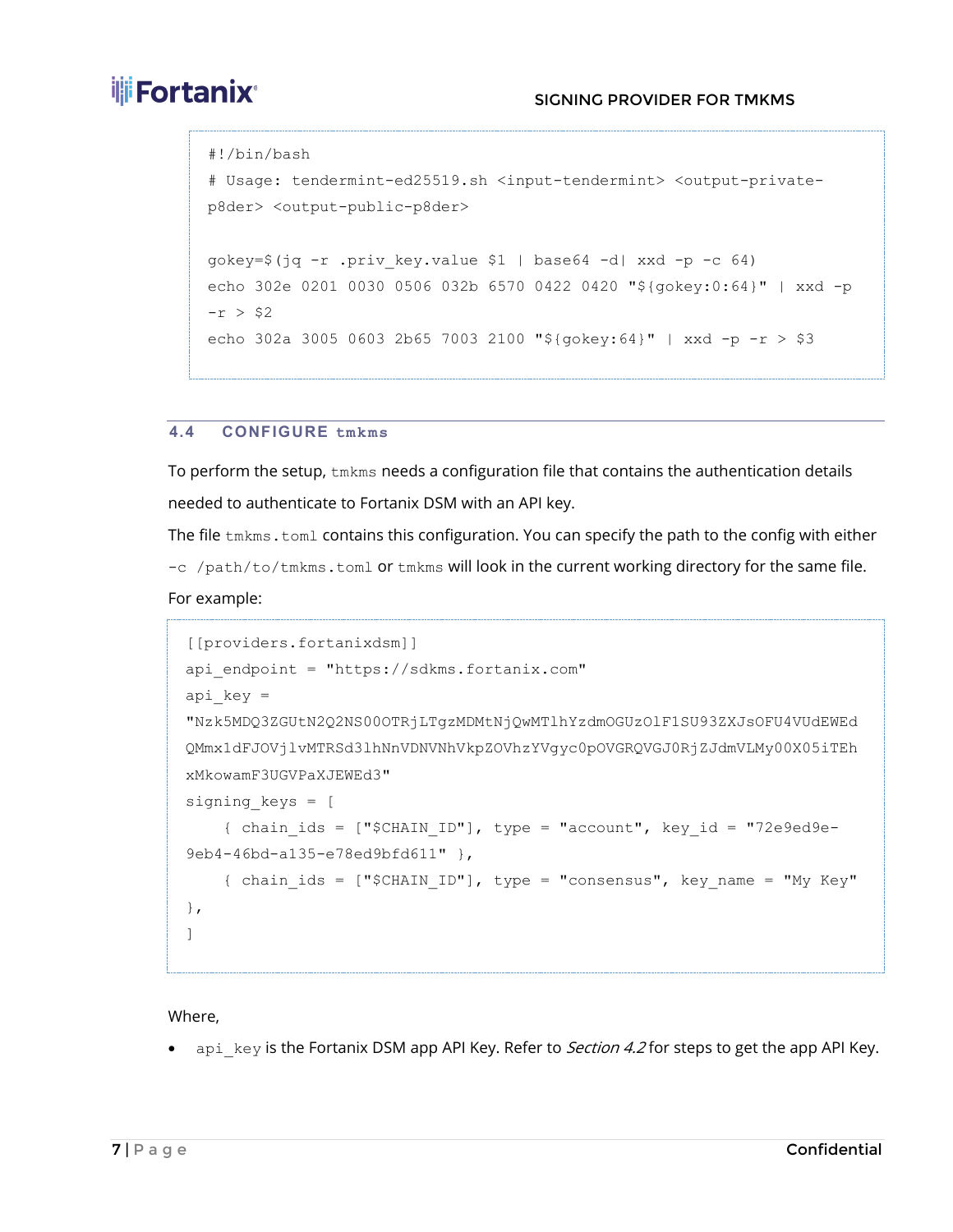### **THE FORTANIX**<sup>®</sup> The SIGNING PROVIDER FOR TMKMS

```
#!/bin/bash
# Usage: tendermint-ed25519.sh <input-tendermint> <output-private-
p8der> <output-public-p8der>
gokey=$(jq -r .priv_key.value $1 | base64 -d| xxd -p -c 64)
echo 302e 0201 0030 0506 032b 6570 0422 0420 "${gokey:0:64}" | xxd -p 
-r > $2echo 302a 3005 0603 2b65 7003 2100 "${gokey:64}" | xxd -p -r > $3
```
### <span id="page-7-0"></span>**4.4 CONFIGURE tmkms**

To perform the setup,  $t_{\text{mkm}}$ s needs a configuration file that contains the authentication details needed to authenticate to Fortanix DSM with an API key.

The file tmkms.toml contains this configuration. You can specify the path to the config with either  $-c$  /path/to/tmkms.toml or tmkms will look in the current working directory for the same file.

```
For example:
```

```
[[providers.fortanixdsm]]
api endpoint = "https://sdkms.fortanix.com"
api key ="Nzk5MDQ3ZGUtN2Q2NS00OTRjLTgzMDMtNjQwMTlhYzdmOGUzOlF1SU93ZXJsOFU4VUdEWEd
QMmx1dFJOVjlvMTRSd3lhNnVDNVNhVkpZOVhzYVgyc0pOVGRQVGJ0RjZJdmVLMy00X05iTEh
xMkowamF3UGVPaXJEWEd3"
signing_keys = [
    { chain ids = ["$CHAIN ID"], type = "account", key id = "72e9ed9e-
9eb4-46bd-a135-e78ed9bfd611" },
     { chain_ids = ["$CHAIN_ID"], type = "consensus", key_name = "My Key" 
},
]
```
### Where,

• api key is the Fortanix DSM app API Key. Refer to *Section 4.2* for steps to get the app API Key.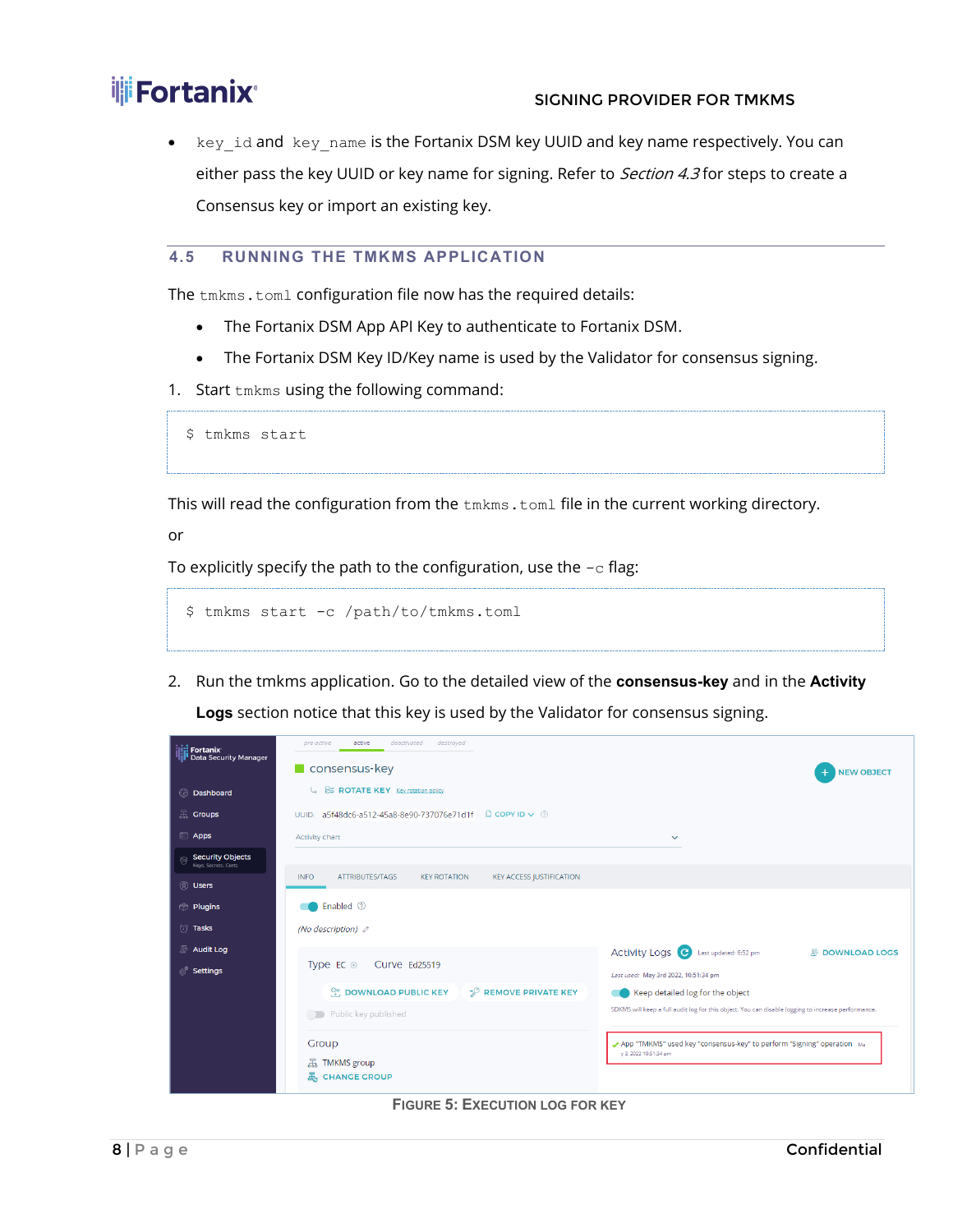• key id and key name is the Fortanix DSM key UUID and key name respectively. You can either pass the key UUID or key name for signing. Refer to Section 4.3 for steps to create a Consensus key or import an existing key.

### <span id="page-8-0"></span>**4.5 RUNNING THE TMKMS APPLICATION**

The tmkms.toml configuration file now has the required details:

- The Fortanix DSM App API Key to authenticate to Fortanix DSM.
- The Fortanix DSM Key ID/Key name is used by the Validator for consensus signing.
- 1. Start tmkms using the following command:

```
$ tmkms start
```
This will read the configuration from the  $t_{\text{mkm}}$ s.  $t_{\text{om}}$  file in the current working directory.

or

To explicitly specify the path to the configuration, use the  $-c$  flag:

```
$ tmkms start -c /path/to/tmkms.toml
```
2. Run the tmkms application. Go to the detailed view of the **consensus-key** and in the **Activity Logs** section notice that this key is used by the Validator for consensus signing.

| <b>ili: Fortanix</b>                                 | deactivated<br>destroyed<br>pre-active<br>active                                         |                                                                                                    |  |  |  |  |  |
|------------------------------------------------------|------------------------------------------------------------------------------------------|----------------------------------------------------------------------------------------------------|--|--|--|--|--|
| <b>I</b> Data Security Manager                       | $\blacksquare$ consensus-key                                                             | <b>NEW OBJECT</b>                                                                                  |  |  |  |  |  |
| C Dashboard                                          | ROTATE KEY Key rotation policy<br>Ц                                                      |                                                                                                    |  |  |  |  |  |
| $\mathbb{R}$ Groups                                  | $\Box$ COPY ID $\lor$ $\odot$<br>a5f48dc6-a512-45a8-8e90-737076e71d1f<br>UUID:           |                                                                                                    |  |  |  |  |  |
| <b>Apps</b>                                          | <b>Activity chart</b>                                                                    | $\checkmark$                                                                                       |  |  |  |  |  |
| <b>Security Objects</b><br>窍<br>Keys, Secrets, Certs |                                                                                          |                                                                                                    |  |  |  |  |  |
| <b>Q</b> Users                                       | <b>INFO</b><br>ATTRIBUTES/TAGS<br><b>KEY ROTATION</b><br><b>KEY ACCESS JUSTIFICATION</b> |                                                                                                    |  |  |  |  |  |
| <b>Plugins</b>                                       | Enabled <sup>7</sup>                                                                     |                                                                                                    |  |  |  |  |  |
| <b><i>S</i></b> Tasks                                | (No description) <i>o</i>                                                                |                                                                                                    |  |  |  |  |  |
| Audit Log                                            |                                                                                          | Activity Logs <sup>C</sup> Last updated: 6:52 pm<br><b><i>图</i></b> DOWNLOAD LOCS                  |  |  |  |  |  |
| <b>&amp; Settings</b>                                | Type EC $\odot$<br>Curve Ed25519                                                         | Last used: May 3rd 2022, 10:51:34 pm                                                               |  |  |  |  |  |
|                                                      | P REMOVE PRIVATE KEY<br><b>COWNLOAD PUBLIC KEY</b>                                       | Keep detailed log for the object                                                                   |  |  |  |  |  |
|                                                      | Public key published                                                                     | SDKMS will keep a full audit log for this object. You can disable logging to increase performance. |  |  |  |  |  |
|                                                      | Group                                                                                    | App "TMKMS" used key "consensus-key" to perform "Signing" operation Ma                             |  |  |  |  |  |
|                                                      | 品 TMKMS group                                                                            | y 3, 2022 10:51:34 pm                                                                              |  |  |  |  |  |
|                                                      | 品 CHANGE GROUP                                                                           |                                                                                                    |  |  |  |  |  |

**FIGURE 5: EXECUTION LOG FOR KEY**